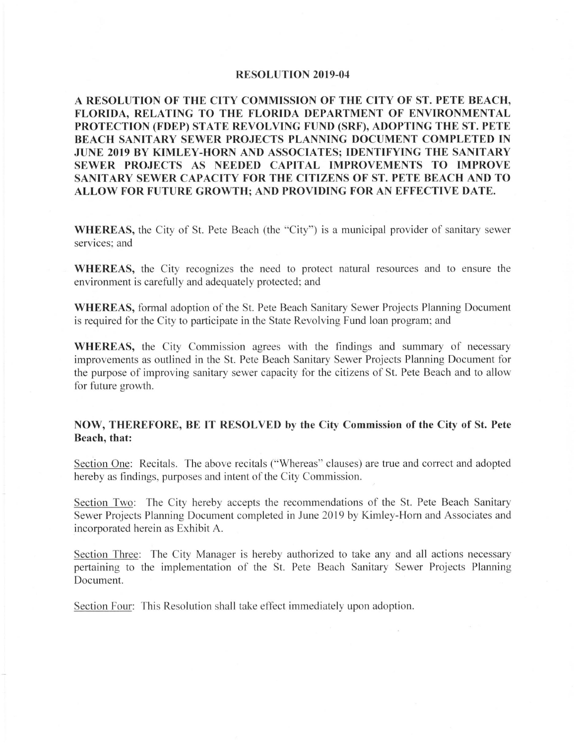## **RESOLUTION 2019-04**

**A RESOLUTION OF THE CITY COMMISSION OF THE CITY OF ST. PETE BEACH, FLORIDA, RELATING TO THE FLORIDA DEPARTMENT OF ENVIRONMENTAL PROTECTION (FDEP) STATE REVOLVING FUND (SRF), ADOPTING THE ST. PETE BEACH SANITARY SEWER PROJECTS PLANNING DOCUMENT COMPLETED IN JUNE 2019 BY KIMLEY-HORN AND ASSOCIATES; IDENTIFYING THE SANITARY SEWER PROJECTS AS NEEDED CAPITAL IMPROVEMENTS TO IMPROVE SANITARY SEWER CAPACITY FOR THE CITIZENS OF ST. PETE BEACH AND TO ALLOW FOR FUTURE GROWTH; AND PROVIDING FOR AN EFFECTIVE DATE.** 

**WHEREAS,** the City of St. Pete Beach (the "City") is a municipal provider of sanitary sewer services; and

**WHEREAS,** the City recognizes the need to protect natural resources and to ensure the environment is carefully and adequately protected; and

**WHEREAS,** formal adoption of the St. Pete Beach Sanitary Sewer Projects Planning Document is required for the City to participate in the State Revolving Fund loan program; and

**WHEREAS,** the City Commission agrees with the findings and summary of necessary improvements as outlined in the St. Pete Beach Sanitary Sewer Projects Planning Document for the purpose of improving sanitary sewer capacity for the citizens of St. Pete Beach and to allow for future growth.

## **NOW, THEREFORE, BE IT RESOLVED by the City Commission of the City of St. Pete Beach, that:**

Section One: Recitals. The above recitals ("Whereas" clauses) are true and correct and adopted hereby as findings, purposes and intent of the City Commission.

Section Two: The City hereby accepts the recommendations of the St. Pete Beach Sanitary Sewer Projects Planning Document completed in June 2019 by Kimley-Horn and Associates and incorporated herein as Exhibit A.

Section Three: The City Manager is hereby authorized to take any and all actions necessary pertaining to the implementation of the St. Pete Beach Sanitary Sewer Projects Planning Document.

Section Four: This Resolution shall take effect immediately upon adoption.